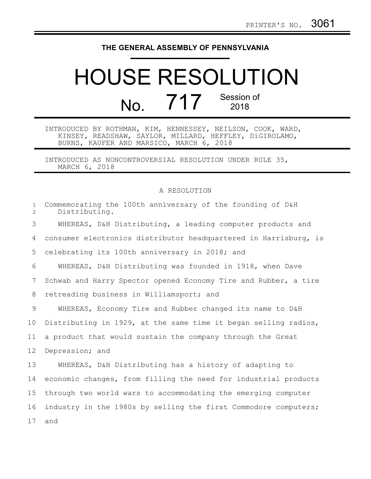## **THE GENERAL ASSEMBLY OF PENNSYLVANIA**

## HOUSE RESOLUTION No. 717 Session of 2018

## INTRODUCED BY ROTHMAN, KIM, HENNESSEY, NEILSON, COOK, WARD, KINSEY, READSHAW, SAYLOR, MILLARD, HEFFLEY, DiGIROLAMO, BURNS, KAUFER AND MARSICO, MARCH 6, 2018

INTRODUCED AS NONCONTROVERSIAL RESOLUTION UNDER RULE 35, MARCH 6, 2018

## A RESOLUTION

| $\mathbf{1}$<br>$\overline{2}$ | Commemorating the 100th anniversary of the founding of D&H<br>Distributing. |
|--------------------------------|-----------------------------------------------------------------------------|
| 3                              | WHEREAS, D&H Distributing, a leading computer products and                  |
| 4                              | consumer electronics distributor headquartered in Harrisburg, is            |
| 5                              | celebrating its 100th anniversary in 2018; and                              |
| 6                              | WHEREAS, D&H Distributing was founded in 1918, when Dave                    |
| 7                              | Schwab and Harry Spector opened Economy Tire and Rubber, a tire             |
| 8                              | retreading business in Williamsport; and                                    |
| 9                              | WHEREAS, Economy Tire and Rubber changed its name to D&H                    |
| 10                             | Distributing in 1929, at the same time it began selling radios,             |
| 11                             | a product that would sustain the company through the Great                  |
| 12                             | Depression; and                                                             |
| 13                             | WHEREAS, D&H Distributing has a history of adapting to                      |
| 14                             | economic changes, from filling the need for industrial products             |
| 15                             | through two world wars to accommodating the emerging computer               |
| 16                             | industry in the 1980s by selling the first Commodore computers;             |
| 17                             | and                                                                         |